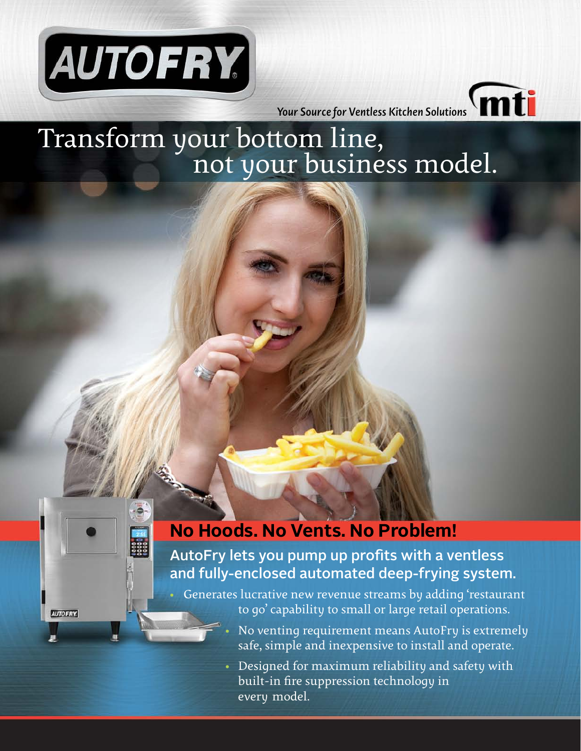

**AUTOFRY** 

*Your Source for Ventless Kitchen Solutions*

# Transform your bottom line, not your business model.

# **No Hoods. No Vents. No Problem!**

AutoFry lets you pump up profits with a ventless and fully-enclosed automated deep-frying system.

• Generates lucrative new revenue streams by adding 'restaurant to go' capability to small or large retail operations.

- No venting requirement means AutoFry is extremely safe, simple and inexpensive to install and operate.
- Designed for maximum reliability and safety with built-in fire suppression technology in every model.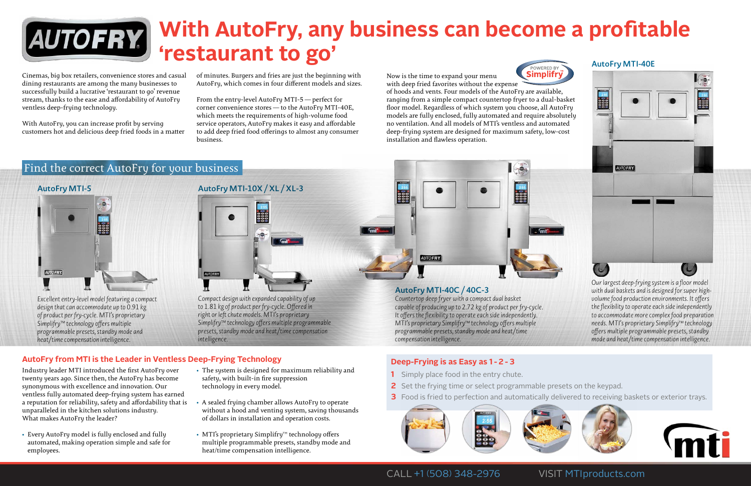

# **With AutoFry, any business can become a profitable 'restaurant to go'**

# **Deep-Frying is as Easy as 1 - 2 - 3**

- **1** Simply place food in the entry chute.
- **2** Set the frying time or select programmable presets on the keypad.
- 



CALL +1 (508) 348-2976 VISIT MTIproducts.com



Cinemas, big box retailers, convenience stores and casual dining restaurants are among the many businesses to successfully build a lucrative 'restaurant to go' revenue stream, thanks to the ease and affordability of AutoFry ventless deep-frying technology.

With AutoFry, you can increase profit by serving customers hot and delicious deep fried foods in a matter of minutes. Burgers and fries are just the beginning with AutoFry, which comes in four different models and sizes.

From the entry-level AutoFry MTI-5 — perfect for corner convenience stores — to the AutoFry MTI-40E, which meets the requirements of high-volume food service operators, AutoFry makes it easy and affordable to add deep fried food offerings to almost any consumer business.



*Excellent entry-level model featuring a compact design that can accommodate up to 0.91 kg of product per fry-cycle. MTI's proprietary Simplifry™ technology offers multiple programmable presets, standby mode and heat/time compensation intelligence.*

Now is the time to expand your menu



with deep fried favorites without the expense of hoods and vents. Four models of the AutoFry are available, ranging from a simple compact countertop fryer to a dual-basket floor model. Regardless of which system you choose, all AutoFry models are fully enclosed, fully automated and require absolutely no ventilation. And all models of MTI's ventless and automated deep-frying system are designed for maximum safety, low-cost installation and flawless operation.





*Compact design with expanded capability of up to 1.81 kg of product per fry-cycle. Offered in right or left chute models. MTI's proprietary Simplifry™ technology offers multiple programmable presets, standby mode and heat/time compensation intelligence.*

## **AutoFry MTI-40C / 40C-3**

*Countertop deep fryer with a compact dual basket capable of producing up to 2.72 kg of product per fry-cycle. It offers the flexibility to operate each side independently. MTI's proprietary Simplifry™ technology offers multiple programmable presets, standby mode and heat/time compensation intelligence.*





*Our largest deep-frying system is a floor model with dual baskets and is designed for super highvolume food production environments. It offers the flexibility to operate each side independently to accommodate more complex food preparation needs. MTI's proprietary Simplifry™ technology offers multiple programmable presets, standby mode and heat/time compensation intelligence.*

**3** Food is fried to perfection and automatically delivered to receiving baskets or exterior trays.

# Find the correct AutoFry for your business

Industry leader MTI introduced the first AutoFry over twenty years ago. Since then, the AutoFry has become synonymous with excellence and innovation. Our ventless fully automated deep-frying system has earned a reputation for reliability, safety and affordability that is unparalleled in the kitchen solutions industry. What makes AutoFry the leader?

- Every AutoFry model is fully enclosed and fully automated, making operation simple and safe for employees.
- The system is designed for maximum reliability and safety, with built-in fire suppression technology in every model.
- A sealed frying chamber allows AutoFry to operate without a hood and venting system, saving thousands of dollars in installation and operation costs.
- MTI's proprietary Simplifry™ technology offers multiple programmable presets, standby mode and heat/time compensation intelligence.



# **AutoFry from MTI is the Leader in Ventless Deep-Frying Technology**